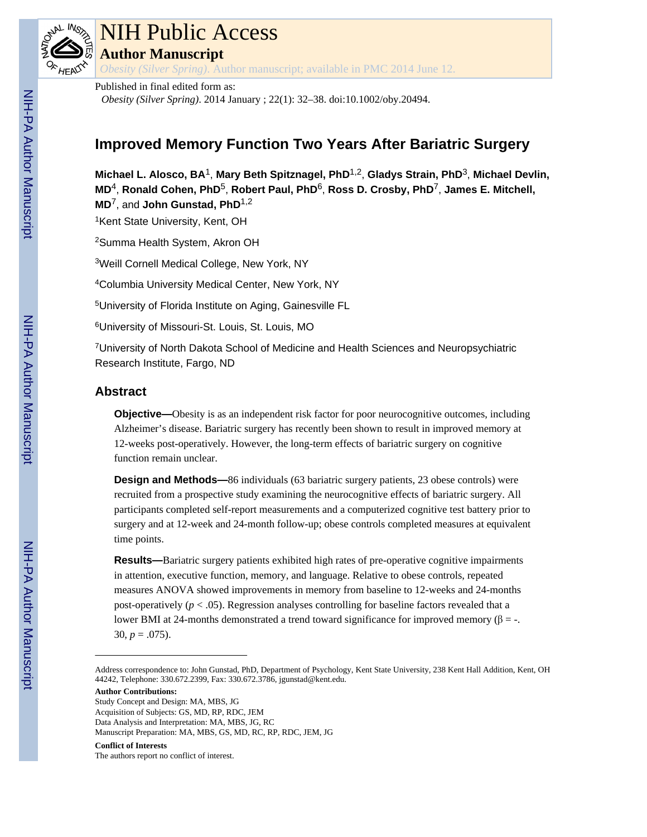

## NIH Public Access **Author Manuscript**

*Obesity (Silver Spring)*. Author manuscript; available in PMC 2014 June 12.

Published in final edited form as: *Obesity (Silver Spring)*. 2014 January ; 22(1): 32–38. doi:10.1002/oby.20494.

### **Improved Memory Function Two Years After Bariatric Surgery**

**Michael L. Alosco, BA**1, **Mary Beth Spitznagel, PhD**1,2, **Gladys Strain, PhD**3, **Michael Devlin, MD**4, **Ronald Cohen, PhD**5, **Robert Paul, PhD**6, **Ross D. Crosby, PhD**7, **James E. Mitchell, MD**7, and **John Gunstad, PhD**1,2

<sup>1</sup>Kent State University, Kent, OH

<sup>2</sup>Summa Health System, Akron OH

<sup>3</sup>Weill Cornell Medical College, New York, NY

<sup>4</sup>Columbia University Medical Center, New York, NY

<sup>5</sup>University of Florida Institute on Aging, Gainesville FL

<sup>6</sup>University of Missouri-St. Louis, St. Louis, MO

<sup>7</sup>University of North Dakota School of Medicine and Health Sciences and Neuropsychiatric Research Institute, Fargo, ND

#### **Abstract**

**Objective—Obesity is as an independent risk factor for poor neurocognitive outcomes, including** Alzheimer's disease. Bariatric surgery has recently been shown to result in improved memory at 12-weeks post-operatively. However, the long-term effects of bariatric surgery on cognitive function remain unclear.

**Design and Methods—**86 individuals (63 bariatric surgery patients, 23 obese controls) were recruited from a prospective study examining the neurocognitive effects of bariatric surgery. All participants completed self-report measurements and a computerized cognitive test battery prior to surgery and at 12-week and 24-month follow-up; obese controls completed measures at equivalent time points.

**Results—**Bariatric surgery patients exhibited high rates of pre-operative cognitive impairments in attention, executive function, memory, and language. Relative to obese controls, repeated measures ANOVA showed improvements in memory from baseline to 12-weeks and 24-months post-operatively ( $p < .05$ ). Regression analyses controlling for baseline factors revealed that a lower BMI at 24-months demonstrated a trend toward significance for improved memory  $(\beta = -1)$ . 30,  $p = .075$ ).

**Author Contributions:**

Study Concept and Design: MA, MBS, JG Acquisition of Subjects: GS, MD, RP, RDC, JEM Data Analysis and Interpretation: MA, MBS, JG, RC Manuscript Preparation: MA, MBS, GS, MD, RC, RP, RDC, JEM, JG

#### **Conflict of Interests**

The authors report no conflict of interest.

Address correspondence to: John Gunstad, PhD, Department of Psychology, Kent State University, 238 Kent Hall Addition, Kent, OH 44242, Telephone: 330.672.2399, Fax: 330.672.3786, jgunstad@kent.edu.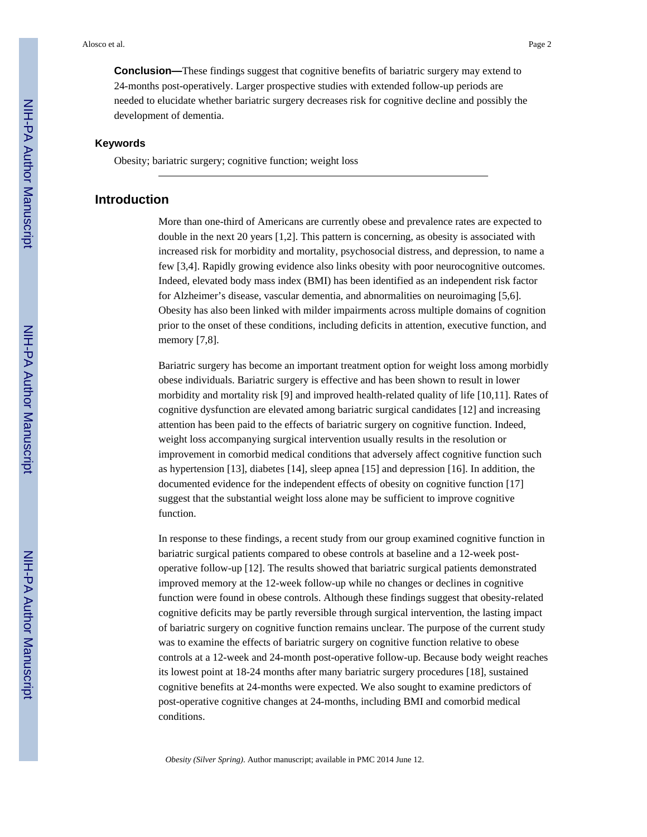**Conclusion—**These findings suggest that cognitive benefits of bariatric surgery may extend to 24-months post-operatively. Larger prospective studies with extended follow-up periods are needed to elucidate whether bariatric surgery decreases risk for cognitive decline and possibly the development of dementia.

#### **Keywords**

Obesity; bariatric surgery; cognitive function; weight loss

#### **Introduction**

More than one-third of Americans are currently obese and prevalence rates are expected to double in the next 20 years [1,2]. This pattern is concerning, as obesity is associated with increased risk for morbidity and mortality, psychosocial distress, and depression, to name a few [3,4]. Rapidly growing evidence also links obesity with poor neurocognitive outcomes. Indeed, elevated body mass index (BMI) has been identified as an independent risk factor for Alzheimer's disease, vascular dementia, and abnormalities on neuroimaging [5,6]. Obesity has also been linked with milder impairments across multiple domains of cognition prior to the onset of these conditions, including deficits in attention, executive function, and memory [7,8].

Bariatric surgery has become an important treatment option for weight loss among morbidly obese individuals. Bariatric surgery is effective and has been shown to result in lower morbidity and mortality risk [9] and improved health-related quality of life [10,11]. Rates of cognitive dysfunction are elevated among bariatric surgical candidates [12] and increasing attention has been paid to the effects of bariatric surgery on cognitive function. Indeed, weight loss accompanying surgical intervention usually results in the resolution or improvement in comorbid medical conditions that adversely affect cognitive function such as hypertension [13], diabetes [14], sleep apnea [15] and depression [16]. In addition, the documented evidence for the independent effects of obesity on cognitive function [17] suggest that the substantial weight loss alone may be sufficient to improve cognitive function.

In response to these findings, a recent study from our group examined cognitive function in bariatric surgical patients compared to obese controls at baseline and a 12-week postoperative follow-up [12]. The results showed that bariatric surgical patients demonstrated improved memory at the 12-week follow-up while no changes or declines in cognitive function were found in obese controls. Although these findings suggest that obesity-related cognitive deficits may be partly reversible through surgical intervention, the lasting impact of bariatric surgery on cognitive function remains unclear. The purpose of the current study was to examine the effects of bariatric surgery on cognitive function relative to obese controls at a 12-week and 24-month post-operative follow-up. Because body weight reaches its lowest point at 18-24 months after many bariatric surgery procedures [18], sustained cognitive benefits at 24-months were expected. We also sought to examine predictors of post-operative cognitive changes at 24-months, including BMI and comorbid medical conditions.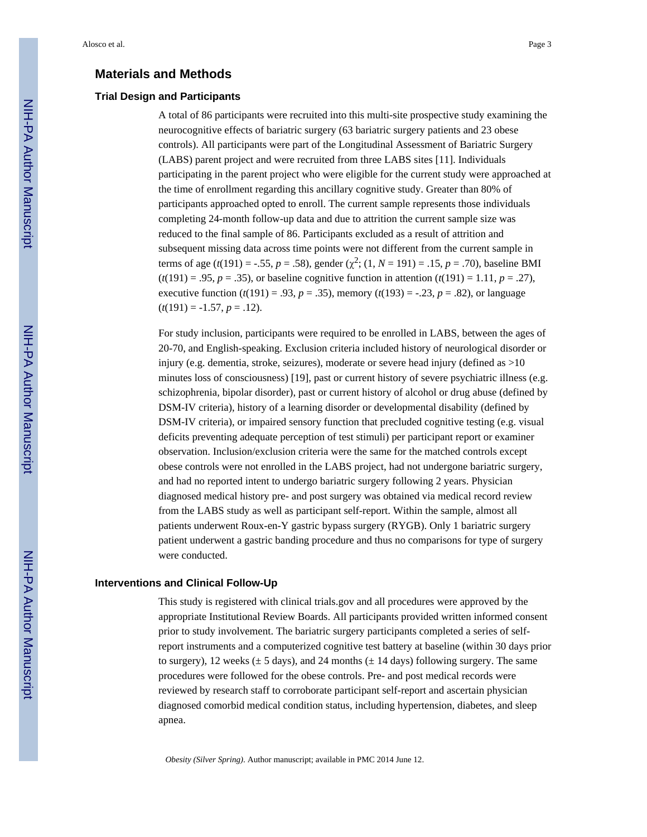#### **Materials and Methods**

#### **Trial Design and Participants**

A total of 86 participants were recruited into this multi-site prospective study examining the neurocognitive effects of bariatric surgery (63 bariatric surgery patients and 23 obese controls). All participants were part of the Longitudinal Assessment of Bariatric Surgery (LABS) parent project and were recruited from three LABS sites [11]. Individuals participating in the parent project who were eligible for the current study were approached at the time of enrollment regarding this ancillary cognitive study. Greater than 80% of participants approached opted to enroll. The current sample represents those individuals completing 24-month follow-up data and due to attrition the current sample size was reduced to the final sample of 86. Participants excluded as a result of attrition and subsequent missing data across time points were not different from the current sample in terms of age ( $t(191) = -.55$ ,  $p = .58$ ), gender ( $\chi^2$ ; (1,  $N = 191$ ) = .15,  $p = .70$ ), baseline BMI  $(t(191) = .95, p = .35)$ , or baseline cognitive function in attention  $(t(191) = 1.11, p = .27)$ , executive function  $(t(191) = .93, p = .35)$ , memory  $(t(193) = .23, p = .82)$ , or language  $(t(191) = -1.57, p = .12).$ 

For study inclusion, participants were required to be enrolled in LABS, between the ages of 20-70, and English-speaking. Exclusion criteria included history of neurological disorder or injury (e.g. dementia, stroke, seizures), moderate or severe head injury (defined as >10 minutes loss of consciousness) [19], past or current history of severe psychiatric illness (e.g. schizophrenia, bipolar disorder), past or current history of alcohol or drug abuse (defined by DSM-IV criteria), history of a learning disorder or developmental disability (defined by DSM-IV criteria), or impaired sensory function that precluded cognitive testing (e.g. visual deficits preventing adequate perception of test stimuli) per participant report or examiner observation. Inclusion/exclusion criteria were the same for the matched controls except obese controls were not enrolled in the LABS project, had not undergone bariatric surgery, and had no reported intent to undergo bariatric surgery following 2 years. Physician diagnosed medical history pre- and post surgery was obtained via medical record review from the LABS study as well as participant self-report. Within the sample, almost all patients underwent Roux-en-Y gastric bypass surgery (RYGB). Only 1 bariatric surgery patient underwent a gastric banding procedure and thus no comparisons for type of surgery were conducted.

#### **Interventions and Clinical Follow-Up**

This study is registered with clinical trials.gov and all procedures were approved by the appropriate Institutional Review Boards. All participants provided written informed consent prior to study involvement. The bariatric surgery participants completed a series of selfreport instruments and a computerized cognitive test battery at baseline (within 30 days prior to surgery), 12 weeks ( $\pm$  5 days), and 24 months ( $\pm$  14 days) following surgery. The same procedures were followed for the obese controls. Pre- and post medical records were reviewed by research staff to corroborate participant self-report and ascertain physician diagnosed comorbid medical condition status, including hypertension, diabetes, and sleep apnea.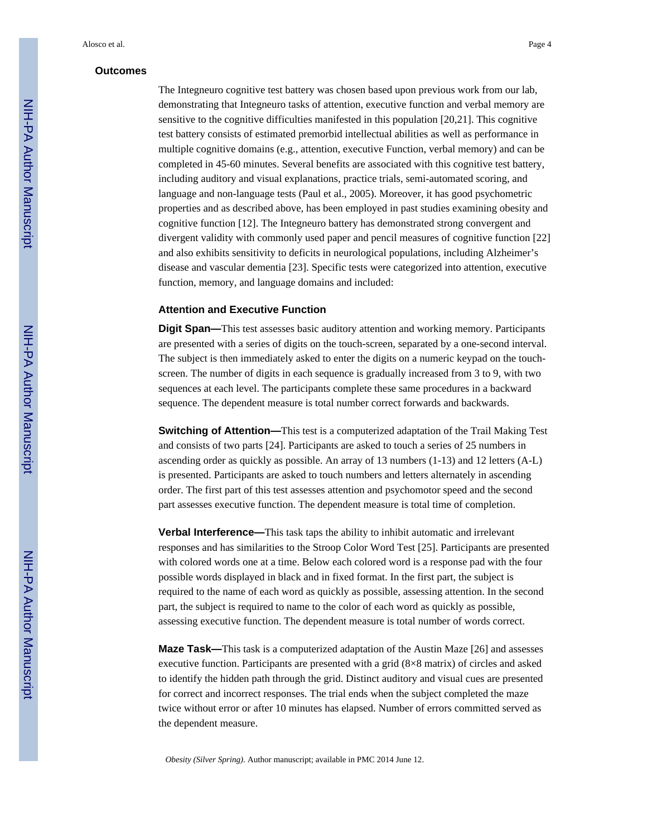#### **Outcomes**

The Integneuro cognitive test battery was chosen based upon previous work from our lab, demonstrating that Integneuro tasks of attention, executive function and verbal memory are sensitive to the cognitive difficulties manifested in this population [20,21]. This cognitive test battery consists of estimated premorbid intellectual abilities as well as performance in multiple cognitive domains (e.g., attention, executive Function, verbal memory) and can be completed in 45-60 minutes. Several benefits are associated with this cognitive test battery, including auditory and visual explanations, practice trials, semi-automated scoring, and language and non-language tests (Paul et al., 2005). Moreover, it has good psychometric properties and as described above, has been employed in past studies examining obesity and cognitive function [12]. The Integneuro battery has demonstrated strong convergent and divergent validity with commonly used paper and pencil measures of cognitive function [22] and also exhibits sensitivity to deficits in neurological populations, including Alzheimer's disease and vascular dementia [23]. Specific tests were categorized into attention, executive function, memory, and language domains and included:

#### **Attention and Executive Function**

**Digit Span—**This test assesses basic auditory attention and working memory. Participants are presented with a series of digits on the touch-screen, separated by a one-second interval. The subject is then immediately asked to enter the digits on a numeric keypad on the touchscreen. The number of digits in each sequence is gradually increased from 3 to 9, with two sequences at each level. The participants complete these same procedures in a backward sequence. The dependent measure is total number correct forwards and backwards.

**Switching of Attention—**This test is a computerized adaptation of the Trail Making Test and consists of two parts [24]. Participants are asked to touch a series of 25 numbers in ascending order as quickly as possible. An array of 13 numbers (1-13) and 12 letters (A-L) is presented. Participants are asked to touch numbers and letters alternately in ascending order. The first part of this test assesses attention and psychomotor speed and the second part assesses executive function. The dependent measure is total time of completion.

**Verbal Interference—**This task taps the ability to inhibit automatic and irrelevant responses and has similarities to the Stroop Color Word Test [25]. Participants are presented with colored words one at a time. Below each colored word is a response pad with the four possible words displayed in black and in fixed format. In the first part, the subject is required to the name of each word as quickly as possible, assessing attention. In the second part, the subject is required to name to the color of each word as quickly as possible, assessing executive function. The dependent measure is total number of words correct.

**Maze Task—**This task is a computerized adaptation of the Austin Maze [26] and assesses executive function. Participants are presented with a grid (8×8 matrix) of circles and asked to identify the hidden path through the grid. Distinct auditory and visual cues are presented for correct and incorrect responses. The trial ends when the subject completed the maze twice without error or after 10 minutes has elapsed. Number of errors committed served as the dependent measure.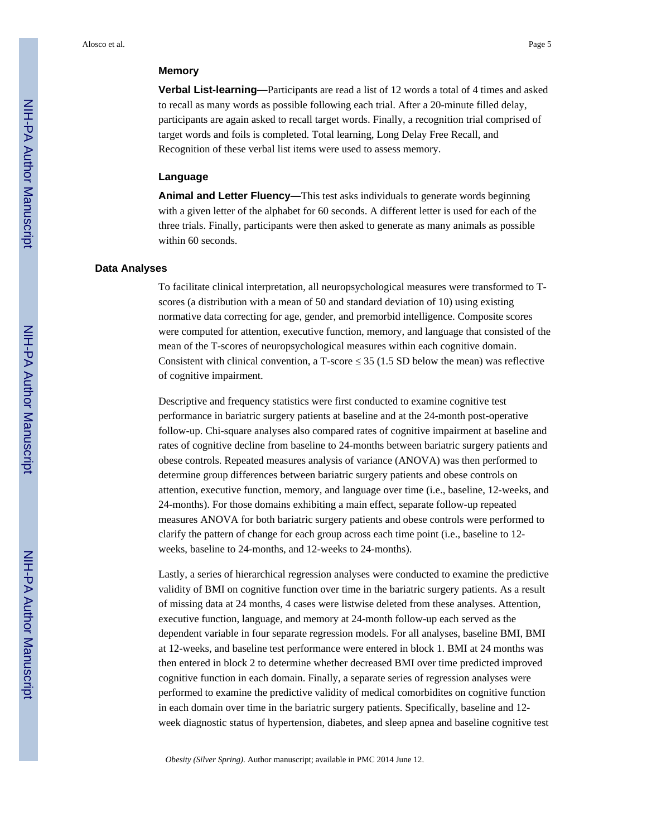#### **Memory**

**Verbal List-learning—**Participants are read a list of 12 words a total of 4 times and asked to recall as many words as possible following each trial. After a 20-minute filled delay, participants are again asked to recall target words. Finally, a recognition trial comprised of target words and foils is completed. Total learning, Long Delay Free Recall, and Recognition of these verbal list items were used to assess memory.

#### **Language**

**Animal and Letter Fluency—**This test asks individuals to generate words beginning with a given letter of the alphabet for 60 seconds. A different letter is used for each of the three trials. Finally, participants were then asked to generate as many animals as possible within 60 seconds.

#### **Data Analyses**

To facilitate clinical interpretation, all neuropsychological measures were transformed to Tscores (a distribution with a mean of 50 and standard deviation of 10) using existing normative data correcting for age, gender, and premorbid intelligence. Composite scores were computed for attention, executive function, memory, and language that consisted of the mean of the T-scores of neuropsychological measures within each cognitive domain. Consistent with clinical convention, a T-score 35 (1.5 SD below the mean) was reflective of cognitive impairment.

Descriptive and frequency statistics were first conducted to examine cognitive test performance in bariatric surgery patients at baseline and at the 24-month post-operative follow-up. Chi-square analyses also compared rates of cognitive impairment at baseline and rates of cognitive decline from baseline to 24-months between bariatric surgery patients and obese controls. Repeated measures analysis of variance (ANOVA) was then performed to determine group differences between bariatric surgery patients and obese controls on attention, executive function, memory, and language over time (i.e., baseline, 12-weeks, and 24-months). For those domains exhibiting a main effect, separate follow-up repeated measures ANOVA for both bariatric surgery patients and obese controls were performed to clarify the pattern of change for each group across each time point (i.e., baseline to 12 weeks, baseline to 24-months, and 12-weeks to 24-months).

Lastly, a series of hierarchical regression analyses were conducted to examine the predictive validity of BMI on cognitive function over time in the bariatric surgery patients. As a result of missing data at 24 months, 4 cases were listwise deleted from these analyses. Attention, executive function, language, and memory at 24-month follow-up each served as the dependent variable in four separate regression models. For all analyses, baseline BMI, BMI at 12-weeks, and baseline test performance were entered in block 1. BMI at 24 months was then entered in block 2 to determine whether decreased BMI over time predicted improved cognitive function in each domain. Finally, a separate series of regression analyses were performed to examine the predictive validity of medical comorbidites on cognitive function in each domain over time in the bariatric surgery patients. Specifically, baseline and 12 week diagnostic status of hypertension, diabetes, and sleep apnea and baseline cognitive test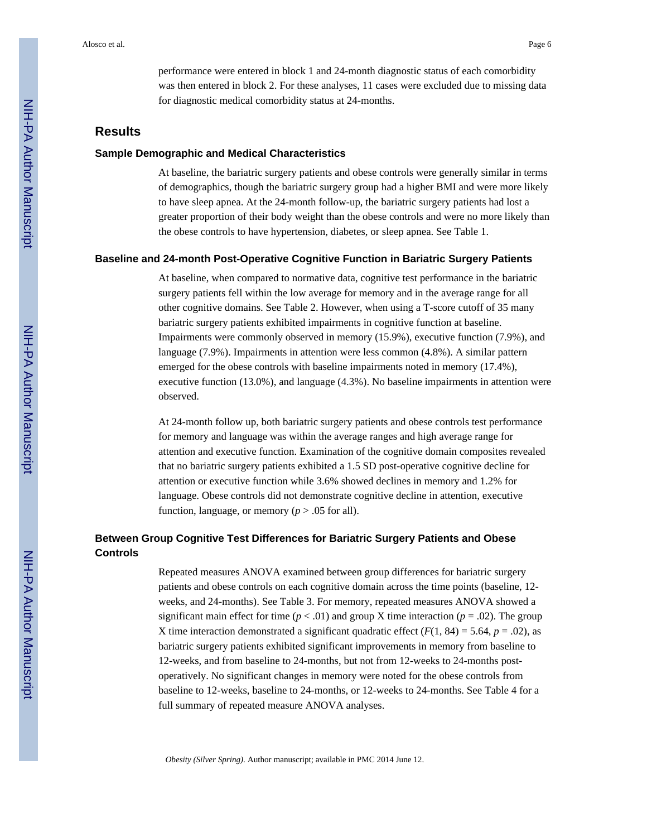performance were entered in block 1 and 24-month diagnostic status of each comorbidity was then entered in block 2. For these analyses, 11 cases were excluded due to missing data for diagnostic medical comorbidity status at 24-months.

#### **Results**

#### **Sample Demographic and Medical Characteristics**

At baseline, the bariatric surgery patients and obese controls were generally similar in terms of demographics, though the bariatric surgery group had a higher BMI and were more likely to have sleep apnea. At the 24-month follow-up, the bariatric surgery patients had lost a greater proportion of their body weight than the obese controls and were no more likely than the obese controls to have hypertension, diabetes, or sleep apnea. See Table 1.

#### **Baseline and 24-month Post-Operative Cognitive Function in Bariatric Surgery Patients**

At baseline, when compared to normative data, cognitive test performance in the bariatric surgery patients fell within the low average for memory and in the average range for all other cognitive domains. See Table 2. However, when using a T-score cutoff of 35 many bariatric surgery patients exhibited impairments in cognitive function at baseline. Impairments were commonly observed in memory (15.9%), executive function (7.9%), and language (7.9%). Impairments in attention were less common (4.8%). A similar pattern emerged for the obese controls with baseline impairments noted in memory (17.4%), executive function (13.0%), and language (4.3%). No baseline impairments in attention were observed.

At 24-month follow up, both bariatric surgery patients and obese controls test performance for memory and language was within the average ranges and high average range for attention and executive function. Examination of the cognitive domain composites revealed that no bariatric surgery patients exhibited a 1.5 SD post-operative cognitive decline for attention or executive function while 3.6% showed declines in memory and 1.2% for language. Obese controls did not demonstrate cognitive decline in attention, executive function, language, or memory ( $p > .05$  for all).

#### **Between Group Cognitive Test Differences for Bariatric Surgery Patients and Obese Controls**

Repeated measures ANOVA examined between group differences for bariatric surgery patients and obese controls on each cognitive domain across the time points (baseline, 12 weeks, and 24-months). See Table 3. For memory, repeated measures ANOVA showed a significant main effect for time ( $p < .01$ ) and group X time interaction ( $p = .02$ ). The group X time interaction demonstrated a significant quadratic effect  $(F(1, 84) = 5.64, p = .02)$ , as bariatric surgery patients exhibited significant improvements in memory from baseline to 12-weeks, and from baseline to 24-months, but not from 12-weeks to 24-months postoperatively. No significant changes in memory were noted for the obese controls from baseline to 12-weeks, baseline to 24-months, or 12-weeks to 24-months. See Table 4 for a full summary of repeated measure ANOVA analyses.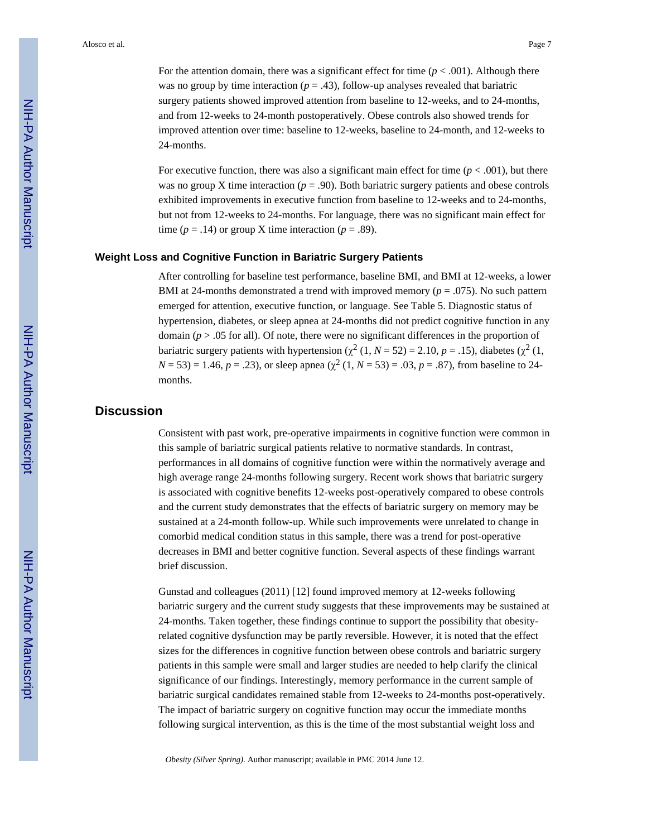For the attention domain, there was a significant effect for time  $(p < .001)$ . Although there was no group by time interaction ( $p = .43$ ), follow-up analyses revealed that bariatric surgery patients showed improved attention from baseline to 12-weeks, and to 24-months, and from 12-weeks to 24-month postoperatively. Obese controls also showed trends for improved attention over time: baseline to 12-weeks, baseline to 24-month, and 12-weeks to 24-months.

For executive function, there was also a significant main effect for time  $(p < .001)$ , but there was no group X time interaction ( $p = .90$ ). Both bariatric surgery patients and obese controls exhibited improvements in executive function from baseline to 12-weeks and to 24-months, but not from 12-weeks to 24-months. For language, there was no significant main effect for time ( $p = .14$ ) or group X time interaction ( $p = .89$ ).

#### **Weight Loss and Cognitive Function in Bariatric Surgery Patients**

After controlling for baseline test performance, baseline BMI, and BMI at 12-weeks, a lower BMI at 24-months demonstrated a trend with improved memory ( $p = .075$ ). No such pattern emerged for attention, executive function, or language. See Table 5. Diagnostic status of hypertension, diabetes, or sleep apnea at 24-months did not predict cognitive function in any domain  $(p > 0.05$  for all). Of note, there were no significant differences in the proportion of bariatric surgery patients with hypertension  $(\chi^2 (1, N = 52) = 2.10, p = .15)$ , diabetes  $(\chi^2 (1, N = 52) = 2.10, p = .15)$  $N = 53$ ) = 1.46,  $p = .23$ ), or sleep apnea ( $\chi^2$  (1,  $N = 53$ ) = .03,  $p = .87$ ), from baseline to 24months.

#### **Discussion**

Consistent with past work, pre-operative impairments in cognitive function were common in this sample of bariatric surgical patients relative to normative standards. In contrast, performances in all domains of cognitive function were within the normatively average and high average range 24-months following surgery. Recent work shows that bariatric surgery is associated with cognitive benefits 12-weeks post-operatively compared to obese controls and the current study demonstrates that the effects of bariatric surgery on memory may be sustained at a 24-month follow-up. While such improvements were unrelated to change in comorbid medical condition status in this sample, there was a trend for post-operative decreases in BMI and better cognitive function. Several aspects of these findings warrant brief discussion.

Gunstad and colleagues (2011) [12] found improved memory at 12-weeks following bariatric surgery and the current study suggests that these improvements may be sustained at 24-months. Taken together, these findings continue to support the possibility that obesityrelated cognitive dysfunction may be partly reversible. However, it is noted that the effect sizes for the differences in cognitive function between obese controls and bariatric surgery patients in this sample were small and larger studies are needed to help clarify the clinical significance of our findings. Interestingly, memory performance in the current sample of bariatric surgical candidates remained stable from 12-weeks to 24-months post-operatively. The impact of bariatric surgery on cognitive function may occur the immediate months following surgical intervention, as this is the time of the most substantial weight loss and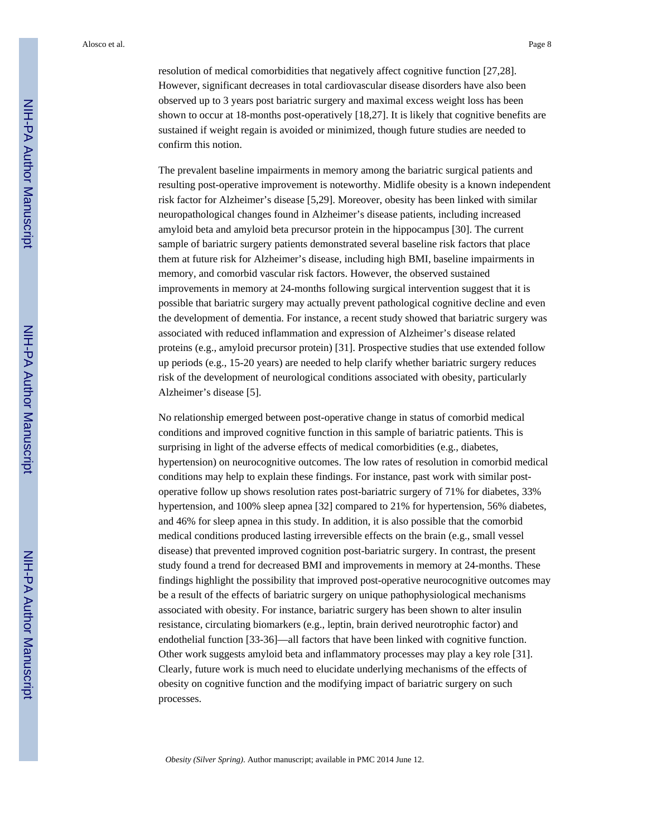Alosco et al. Page 8

resolution of medical comorbidities that negatively affect cognitive function [27,28]. However, significant decreases in total cardiovascular disease disorders have also been observed up to 3 years post bariatric surgery and maximal excess weight loss has been shown to occur at 18-months post-operatively [18,27]. It is likely that cognitive benefits are sustained if weight regain is avoided or minimized, though future studies are needed to confirm this notion.

The prevalent baseline impairments in memory among the bariatric surgical patients and resulting post-operative improvement is noteworthy. Midlife obesity is a known independent risk factor for Alzheimer's disease [5,29]. Moreover, obesity has been linked with similar neuropathological changes found in Alzheimer's disease patients, including increased amyloid beta and amyloid beta precursor protein in the hippocampus [30]. The current sample of bariatric surgery patients demonstrated several baseline risk factors that place them at future risk for Alzheimer's disease, including high BMI, baseline impairments in memory, and comorbid vascular risk factors. However, the observed sustained improvements in memory at 24-months following surgical intervention suggest that it is possible that bariatric surgery may actually prevent pathological cognitive decline and even the development of dementia. For instance, a recent study showed that bariatric surgery was associated with reduced inflammation and expression of Alzheimer's disease related proteins (e.g., amyloid precursor protein) [31]. Prospective studies that use extended follow up periods (e.g., 15-20 years) are needed to help clarify whether bariatric surgery reduces risk of the development of neurological conditions associated with obesity, particularly Alzheimer's disease [5].

No relationship emerged between post-operative change in status of comorbid medical conditions and improved cognitive function in this sample of bariatric patients. This is surprising in light of the adverse effects of medical comorbidities (e.g., diabetes, hypertension) on neurocognitive outcomes. The low rates of resolution in comorbid medical conditions may help to explain these findings. For instance, past work with similar postoperative follow up shows resolution rates post-bariatric surgery of 71% for diabetes, 33% hypertension, and 100% sleep apnea [32] compared to 21% for hypertension, 56% diabetes, and 46% for sleep apnea in this study. In addition, it is also possible that the comorbid medical conditions produced lasting irreversible effects on the brain (e.g., small vessel disease) that prevented improved cognition post-bariatric surgery. In contrast, the present study found a trend for decreased BMI and improvements in memory at 24-months. These findings highlight the possibility that improved post-operative neurocognitive outcomes may be a result of the effects of bariatric surgery on unique pathophysiological mechanisms associated with obesity. For instance, bariatric surgery has been shown to alter insulin resistance, circulating biomarkers (e.g., leptin, brain derived neurotrophic factor) and endothelial function [33-36]—all factors that have been linked with cognitive function. Other work suggests amyloid beta and inflammatory processes may play a key role [31]. Clearly, future work is much need to elucidate underlying mechanisms of the effects of obesity on cognitive function and the modifying impact of bariatric surgery on such processes.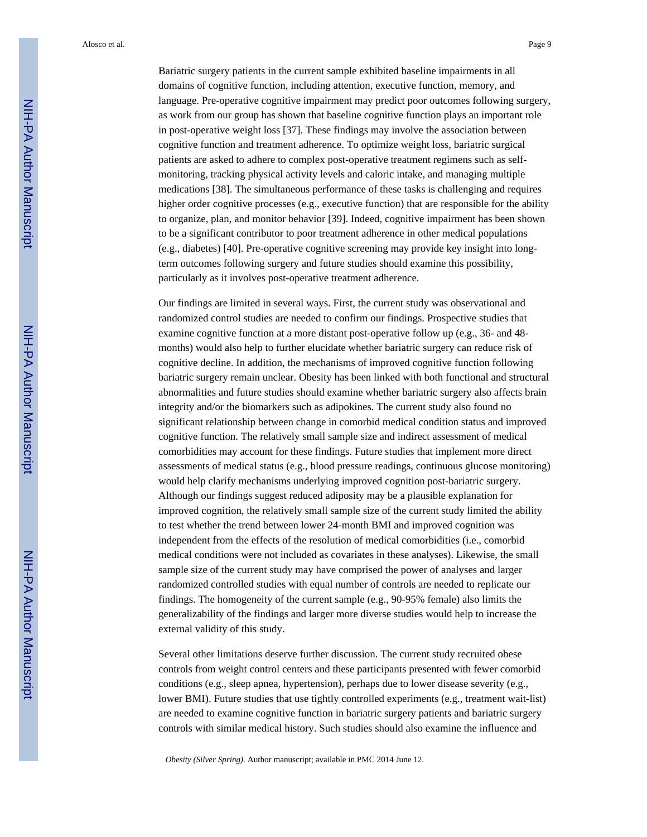Alosco et al. Page 9

Bariatric surgery patients in the current sample exhibited baseline impairments in all domains of cognitive function, including attention, executive function, memory, and language. Pre-operative cognitive impairment may predict poor outcomes following surgery, as work from our group has shown that baseline cognitive function plays an important role in post-operative weight loss [37]. These findings may involve the association between cognitive function and treatment adherence. To optimize weight loss, bariatric surgical patients are asked to adhere to complex post-operative treatment regimens such as selfmonitoring, tracking physical activity levels and caloric intake, and managing multiple medications [38]. The simultaneous performance of these tasks is challenging and requires higher order cognitive processes (e.g., executive function) that are responsible for the ability to organize, plan, and monitor behavior [39]. Indeed, cognitive impairment has been shown to be a significant contributor to poor treatment adherence in other medical populations (e.g., diabetes) [40]. Pre-operative cognitive screening may provide key insight into longterm outcomes following surgery and future studies should examine this possibility, particularly as it involves post-operative treatment adherence.

Our findings are limited in several ways. First, the current study was observational and randomized control studies are needed to confirm our findings. Prospective studies that examine cognitive function at a more distant post-operative follow up (e.g., 36- and 48 months) would also help to further elucidate whether bariatric surgery can reduce risk of cognitive decline. In addition, the mechanisms of improved cognitive function following bariatric surgery remain unclear. Obesity has been linked with both functional and structural abnormalities and future studies should examine whether bariatric surgery also affects brain integrity and/or the biomarkers such as adipokines. The current study also found no significant relationship between change in comorbid medical condition status and improved cognitive function. The relatively small sample size and indirect assessment of medical comorbidities may account for these findings. Future studies that implement more direct assessments of medical status (e.g., blood pressure readings, continuous glucose monitoring) would help clarify mechanisms underlying improved cognition post-bariatric surgery. Although our findings suggest reduced adiposity may be a plausible explanation for improved cognition, the relatively small sample size of the current study limited the ability to test whether the trend between lower 24-month BMI and improved cognition was independent from the effects of the resolution of medical comorbidities (i.e., comorbid medical conditions were not included as covariates in these analyses). Likewise, the small sample size of the current study may have comprised the power of analyses and larger randomized controlled studies with equal number of controls are needed to replicate our findings. The homogeneity of the current sample (e.g., 90-95% female) also limits the generalizability of the findings and larger more diverse studies would help to increase the external validity of this study.

Several other limitations deserve further discussion. The current study recruited obese controls from weight control centers and these participants presented with fewer comorbid conditions (e.g., sleep apnea, hypertension), perhaps due to lower disease severity (e.g., lower BMI). Future studies that use tightly controlled experiments (e.g., treatment wait-list) are needed to examine cognitive function in bariatric surgery patients and bariatric surgery controls with similar medical history. Such studies should also examine the influence and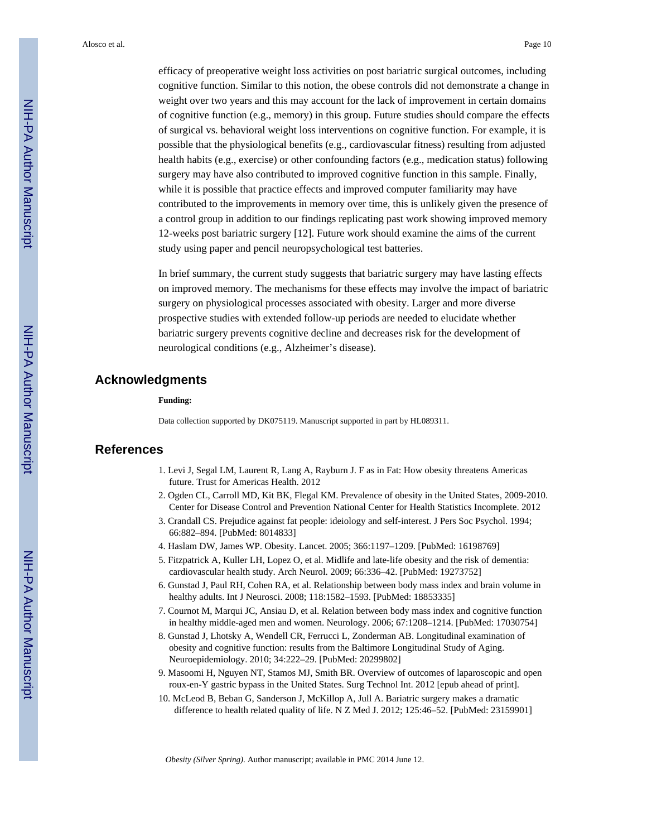efficacy of preoperative weight loss activities on post bariatric surgical outcomes, including cognitive function. Similar to this notion, the obese controls did not demonstrate a change in weight over two years and this may account for the lack of improvement in certain domains of cognitive function (e.g., memory) in this group. Future studies should compare the effects of surgical vs. behavioral weight loss interventions on cognitive function. For example, it is possible that the physiological benefits (e.g., cardiovascular fitness) resulting from adjusted health habits (e.g., exercise) or other confounding factors (e.g., medication status) following surgery may have also contributed to improved cognitive function in this sample. Finally, while it is possible that practice effects and improved computer familiarity may have contributed to the improvements in memory over time, this is unlikely given the presence of a control group in addition to our findings replicating past work showing improved memory 12-weeks post bariatric surgery [12]. Future work should examine the aims of the current study using paper and pencil neuropsychological test batteries.

In brief summary, the current study suggests that bariatric surgery may have lasting effects on improved memory. The mechanisms for these effects may involve the impact of bariatric surgery on physiological processes associated with obesity. Larger and more diverse prospective studies with extended follow-up periods are needed to elucidate whether bariatric surgery prevents cognitive decline and decreases risk for the development of neurological conditions (e.g., Alzheimer's disease).

#### **Acknowledgments**

#### **Funding:**

Data collection supported by DK075119. Manuscript supported in part by HL089311.

#### **References**

- 1. Levi J, Segal LM, Laurent R, Lang A, Rayburn J. F as in Fat: How obesity threatens Americas future. Trust for Americas Health. 2012
- 2. Ogden CL, Carroll MD, Kit BK, Flegal KM. Prevalence of obesity in the United States, 2009-2010. Center for Disease Control and Prevention National Center for Health Statistics Incomplete. 2012
- 3. Crandall CS. Prejudice against fat people: ideiology and self-interest. J Pers Soc Psychol. 1994; 66:882–894. [PubMed: 8014833]
- 4. Haslam DW, James WP. Obesity. Lancet. 2005; 366:1197–1209. [PubMed: 16198769]
- 5. Fitzpatrick A, Kuller LH, Lopez O, et al. Midlife and late-life obesity and the risk of dementia: cardiovascular health study. Arch Neurol. 2009; 66:336–42. [PubMed: 19273752]
- 6. Gunstad J, Paul RH, Cohen RA, et al. Relationship between body mass index and brain volume in healthy adults. Int J Neurosci. 2008; 118:1582–1593. [PubMed: 18853335]
- 7. Cournot M, Marqui JC, Ansiau D, et al. Relation between body mass index and cognitive function in healthy middle-aged men and women. Neurology. 2006; 67:1208–1214. [PubMed: 17030754]
- 8. Gunstad J, Lhotsky A, Wendell CR, Ferrucci L, Zonderman AB. Longitudinal examination of obesity and cognitive function: results from the Baltimore Longitudinal Study of Aging. Neuroepidemiology. 2010; 34:222–29. [PubMed: 20299802]
- 9. Masoomi H, Nguyen NT, Stamos MJ, Smith BR. Overview of outcomes of laparoscopic and open roux-en-Y gastric bypass in the United States. Surg Technol Int. 2012 [epub ahead of print].
- 10. McLeod B, Beban G, Sanderson J, McKillop A, Jull A. Bariatric surgery makes a dramatic difference to health related quality of life. N Z Med J. 2012; 125:46–52. [PubMed: 23159901]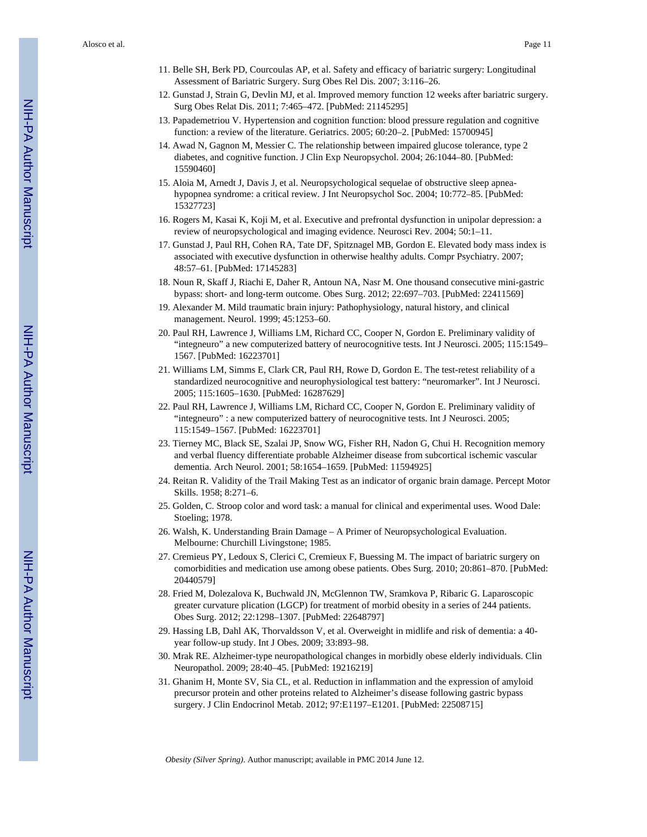- 11. Belle SH, Berk PD, Courcoulas AP, et al. Safety and efficacy of bariatric surgery: Longitudinal Assessment of Bariatric Surgery. Surg Obes Rel Dis. 2007; 3:116–26.
- 12. Gunstad J, Strain G, Devlin MJ, et al. Improved memory function 12 weeks after bariatric surgery. Surg Obes Relat Dis. 2011; 7:465–472. [PubMed: 21145295]
- 13. Papademetriou V. Hypertension and cognition function: blood pressure regulation and cognitive function: a review of the literature. Geriatrics. 2005; 60:20–2. [PubMed: 15700945]
- 14. Awad N, Gagnon M, Messier C. The relationship between impaired glucose tolerance, type 2 diabetes, and cognitive function. J Clin Exp Neuropsychol. 2004; 26:1044–80. [PubMed: 15590460]
- 15. Aloia M, Arnedt J, Davis J, et al. Neuropsychological sequelae of obstructive sleep apneahypopnea syndrome: a critical review. J Int Neuropsychol Soc. 2004; 10:772–85. [PubMed: 15327723]
- 16. Rogers M, Kasai K, Koji M, et al. Executive and prefrontal dysfunction in unipolar depression: a review of neuropsychological and imaging evidence. Neurosci Rev. 2004; 50:1–11.
- 17. Gunstad J, Paul RH, Cohen RA, Tate DF, Spitznagel MB, Gordon E. Elevated body mass index is associated with executive dysfunction in otherwise healthy adults. Compr Psychiatry. 2007; 48:57–61. [PubMed: 17145283]
- 18. Noun R, Skaff J, Riachi E, Daher R, Antoun NA, Nasr M. One thousand consecutive mini-gastric bypass: short- and long-term outcome. Obes Surg. 2012; 22:697–703. [PubMed: 22411569]
- 19. Alexander M. Mild traumatic brain injury: Pathophysiology, natural history, and clinical management. Neurol. 1999; 45:1253–60.
- 20. Paul RH, Lawrence J, Williams LM, Richard CC, Cooper N, Gordon E. Preliminary validity of "integneuro" a new computerized battery of neurocognitive tests. Int J Neurosci. 2005; 115:1549– 1567. [PubMed: 16223701]
- 21. Williams LM, Simms E, Clark CR, Paul RH, Rowe D, Gordon E. The test-retest reliability of a standardized neurocognitive and neurophysiological test battery: "neuromarker". Int J Neurosci. 2005; 115:1605–1630. [PubMed: 16287629]
- 22. Paul RH, Lawrence J, Williams LM, Richard CC, Cooper N, Gordon E. Preliminary validity of "integneuro" : a new computerized battery of neurocognitive tests. Int J Neurosci. 2005; 115:1549–1567. [PubMed: 16223701]
- 23. Tierney MC, Black SE, Szalai JP, Snow WG, Fisher RH, Nadon G, Chui H. Recognition memory and verbal fluency differentiate probable Alzheimer disease from subcortical ischemic vascular dementia. Arch Neurol. 2001; 58:1654–1659. [PubMed: 11594925]
- 24. Reitan R. Validity of the Trail Making Test as an indicator of organic brain damage. Percept Motor Skills. 1958; 8:271–6.
- 25. Golden, C. Stroop color and word task: a manual for clinical and experimental uses. Wood Dale: Stoeling; 1978.
- 26. Walsh, K. Understanding Brain Damage A Primer of Neuropsychological Evaluation. Melbourne: Churchill Livingstone; 1985.
- 27. Cremieus PY, Ledoux S, Clerici C, Cremieux F, Buessing M. The impact of bariatric surgery on comorbidities and medication use among obese patients. Obes Surg. 2010; 20:861–870. [PubMed: 20440579]
- 28. Fried M, Dolezalova K, Buchwald JN, McGlennon TW, Sramkova P, Ribaric G. Laparoscopic greater curvature plication (LGCP) for treatment of morbid obesity in a series of 244 patients. Obes Surg. 2012; 22:1298–1307. [PubMed: 22648797]
- 29. Hassing LB, Dahl AK, Thorvaldsson V, et al. Overweight in midlife and risk of dementia: a 40 year follow-up study. Int J Obes. 2009; 33:893–98.
- 30. Mrak RE. Alzheimer-type neuropathological changes in morbidly obese elderly individuals. Clin Neuropathol. 2009; 28:40–45. [PubMed: 19216219]
- 31. Ghanim H, Monte SV, Sia CL, et al. Reduction in inflammation and the expression of amyloid precursor protein and other proteins related to Alzheimer's disease following gastric bypass surgery. J Clin Endocrinol Metab. 2012; 97:E1197–E1201. [PubMed: 22508715]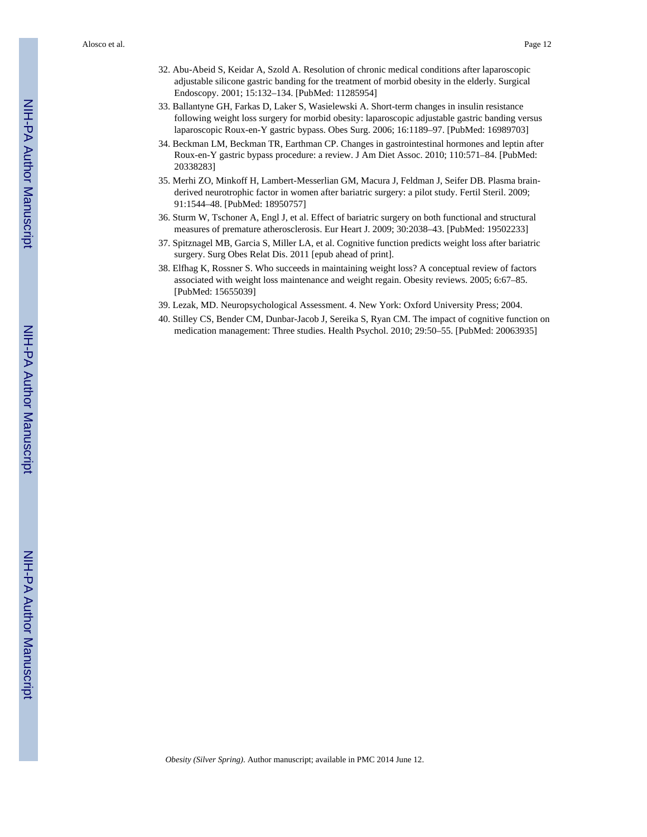Alosco et al. Page 12

- 32. Abu-Abeid S, Keidar A, Szold A. Resolution of chronic medical conditions after laparoscopic adjustable silicone gastric banding for the treatment of morbid obesity in the elderly. Surgical Endoscopy. 2001; 15:132–134. [PubMed: 11285954]
- 33. Ballantyne GH, Farkas D, Laker S, Wasielewski A. Short-term changes in insulin resistance following weight loss surgery for morbid obesity: laparoscopic adjustable gastric banding versus laparoscopic Roux-en-Y gastric bypass. Obes Surg. 2006; 16:1189–97. [PubMed: 16989703]
- 34. Beckman LM, Beckman TR, Earthman CP. Changes in gastrointestinal hormones and leptin after Roux-en-Y gastric bypass procedure: a review. J Am Diet Assoc. 2010; 110:571–84. [PubMed: 20338283]
- 35. Merhi ZO, Minkoff H, Lambert-Messerlian GM, Macura J, Feldman J, Seifer DB. Plasma brainderived neurotrophic factor in women after bariatric surgery: a pilot study. Fertil Steril. 2009; 91:1544–48. [PubMed: 18950757]
- 36. Sturm W, Tschoner A, Engl J, et al. Effect of bariatric surgery on both functional and structural measures of premature atherosclerosis. Eur Heart J. 2009; 30:2038–43. [PubMed: 19502233]
- 37. Spitznagel MB, Garcia S, Miller LA, et al. Cognitive function predicts weight loss after bariatric surgery. Surg Obes Relat Dis. 2011 [epub ahead of print].
- 38. Elfhag K, Rossner S. Who succeeds in maintaining weight loss? A conceptual review of factors associated with weight loss maintenance and weight regain. Obesity reviews. 2005; 6:67–85. [PubMed: 15655039]
- 39. Lezak, MD. Neuropsychological Assessment. 4. New York: Oxford University Press; 2004.
- 40. Stilley CS, Bender CM, Dunbar-Jacob J, Sereika S, Ryan CM. The impact of cognitive function on medication management: Three studies. Health Psychol. 2010; 29:50–55. [PubMed: 20063935]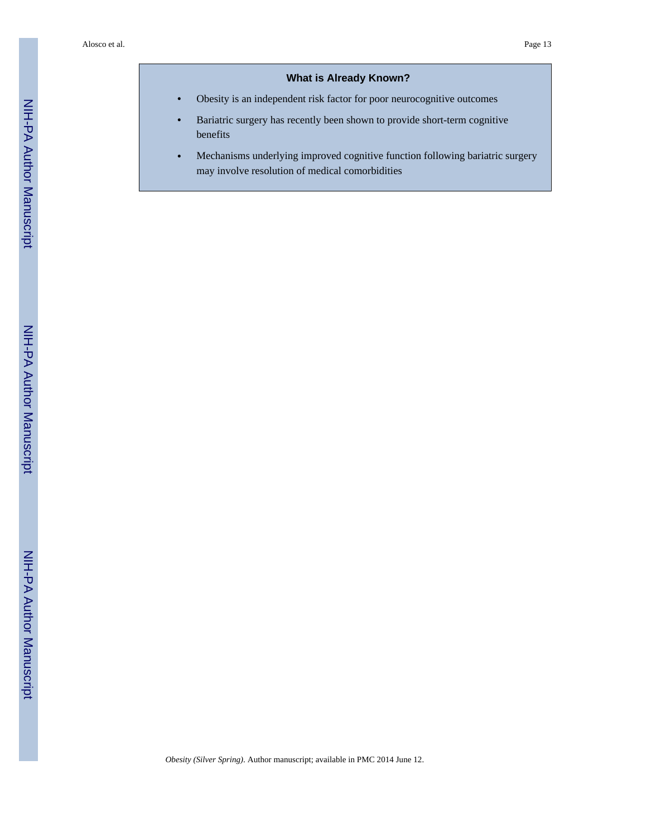#### **What is Already Known?**

- **•** Obesity is an independent risk factor for poor neurocognitive outcomes
- **•** Bariatric surgery has recently been shown to provide short-term cognitive benefits
- **•** Mechanisms underlying improved cognitive function following bariatric surgery may involve resolution of medical comorbidities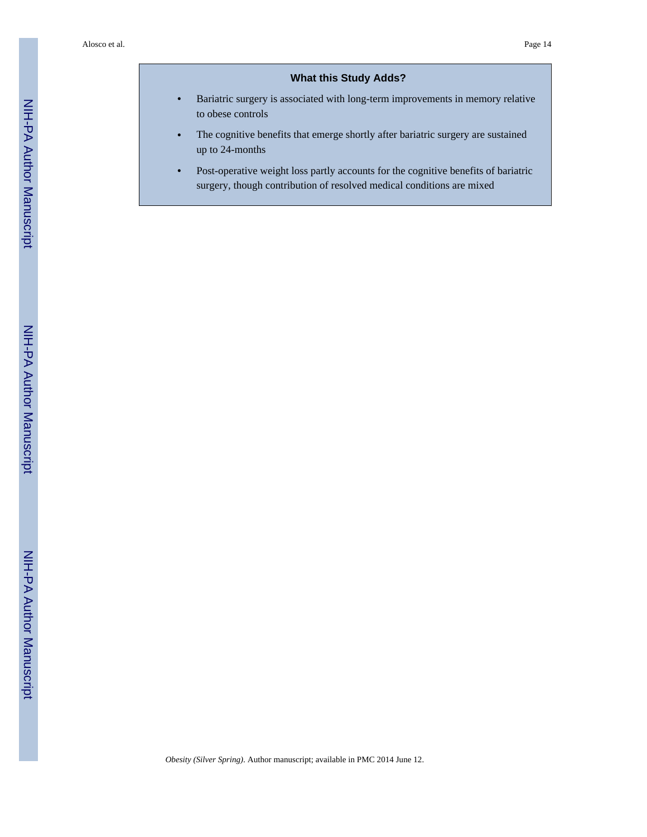#### **What this Study Adds?**

- **•** Bariatric surgery is associated with long-term improvements in memory relative to obese controls
- **•** The cognitive benefits that emerge shortly after bariatric surgery are sustained up to 24-months
- Post-operative weight loss partly accounts for the cognitive benefits of bariatric surgery, though contribution of resolved medical conditions are mixed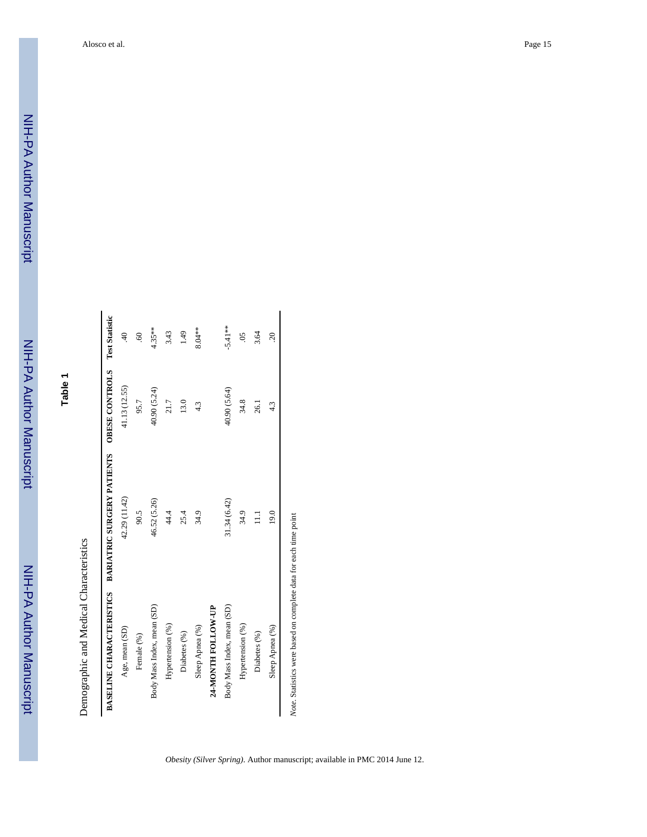## **Table 1**

# Demographic and Medical Characteristics Demographic and Medical Characteristics

|                            | BASELINE CHARA CTERISTICS BARIATRIC SURGERY PATIENTS OBESE CONTROLS Test Statistic |               |                           |
|----------------------------|------------------------------------------------------------------------------------|---------------|---------------------------|
| Age, mean (SD)             | 42.29 (11.42)                                                                      | 41.13 (12.55) | $\overline{a}$            |
| Female (%)                 | 90.5                                                                               | 95.7          | $\ddot{\mathrm{8}}$       |
| Body Mass Index, mean (SD) | 46.52 (5.26)                                                                       | 40.90 (5.24)  | $4.35***$                 |
| Hypertension (%)           | 44.4                                                                               | 21.7          | 3.43                      |
| Diabetes (%)               | 25.4                                                                               | 13.0          | 1.49                      |
| Sleep Apnea (%)            | 34.9                                                                               | 43            | 8.04**                    |
| 24-MONTH FOLLOW-UP         |                                                                                    |               |                           |
| Body Mass Index, mean (SD) | 31.34 (6.42)                                                                       | 40.90 (5.64)  | $-5.41**$                 |
| Hypertension (%)           | 34.9                                                                               | 34.8          | $\widetilde{\mathrm{SO}}$ |
| Diabetes (%)               | $\Xi$                                                                              | 26.1          | 3.64                      |
| Sleep Apnea (%)            | 19.0                                                                               | 4.3           | $\approx$                 |

Note. Statistics were based on complete data for each time point *Note*. Statistics were based on complete data for each time point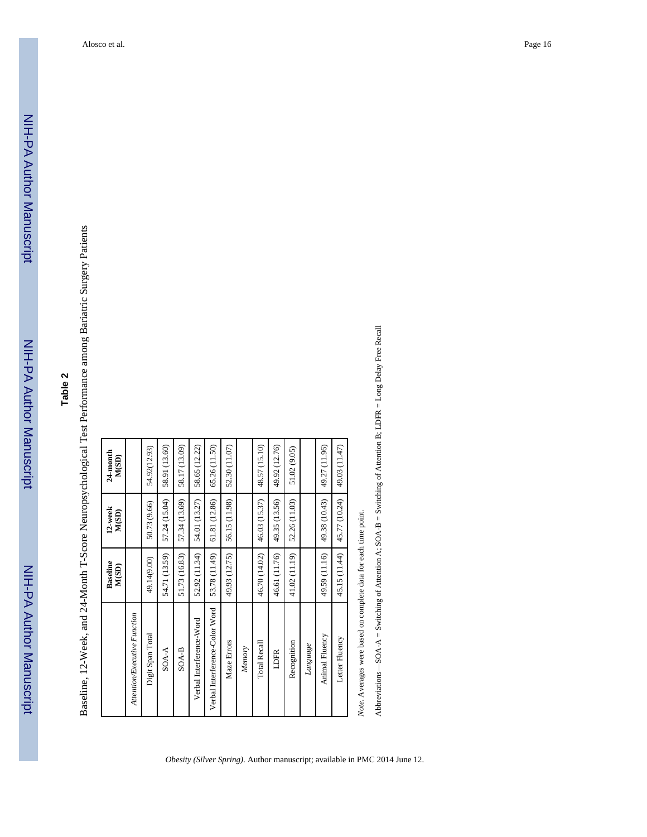# **Table 2**

Baseline, 12-Week, and 24-Month T-Score Neuropsychological Test Performance among Bariatric Surgery Patients Baseline, 12-Week, and 24-Month T-Score Neuropsychological Test Performance among Bariatric Surgery Patients

|                                | <b>Baseline</b><br>M(SD) | 12-week<br>M(SD) | 24-month<br>M(SD) |
|--------------------------------|--------------------------|------------------|-------------------|
| Attention/Executive Function   |                          |                  |                   |
| Digit Span Total               | 49.14(9.00)              | 50.73 (9.66)     | 54.92(12.93)      |
| $SOA-A$                        | 54.71 (13.59)            | 57.24 (15.04)    | 58.91 (13.60)     |
| $SOA-B$                        | 51.73 (16.83)            | 57.34 (13.69)    | 58.17 (13.09)     |
| Verbal Interference-Word       | 52.92 (11.34)            | 54.01 (13.27)    | 58.65 (12.22)     |
| Verbal Interference-Color Word | 53.78 (11.49)            | 61.81 (12.86)    | 65.26 (11.50)     |
| Maze Errors                    | 49.93 (12.75)            | 56.15 (11.98)    | 52.30 (11.07)     |
| Memory                         |                          |                  |                   |
| Total Recall                   | 46.70 (14.02)            | 46.03 (15.37)    | 48.57 (15.10)     |
| LDFR                           | 46.61 (11.76)            | 49.35 (13.56)    | 49.92 (12.76)     |
| Recognition                    | 41.02 (11.19)            | 52.26 (11.03)    | 51.02 (9.05)      |
| Language                       |                          |                  |                   |
| Animal Fluency                 | 49.59 (11.16)            | 49.38 (10.43)    | 49.27 (11.96)     |
| Letter Fluency                 | 45.15 (11.44)            | 45.77 (10.24)    | 49.03 (11.47)     |
|                                |                          |                  |                   |

Note. Averages were based on complete data for each time point. *Note*. Averages were based on complete data for each time point.

*Obesity (Silver Spring)*. Author manuscript; available in PMC 2014 June 12.

Abbreviations-SOA- $A =$  Switching of Attention A; SOA-B = Switching of Attention B; LDFR = Long Delay Free Recall Abbreviations—SOA-A = Switching of Attention A; SOA-B = Switching of Attention B; LDFR = Long Delay Free Recall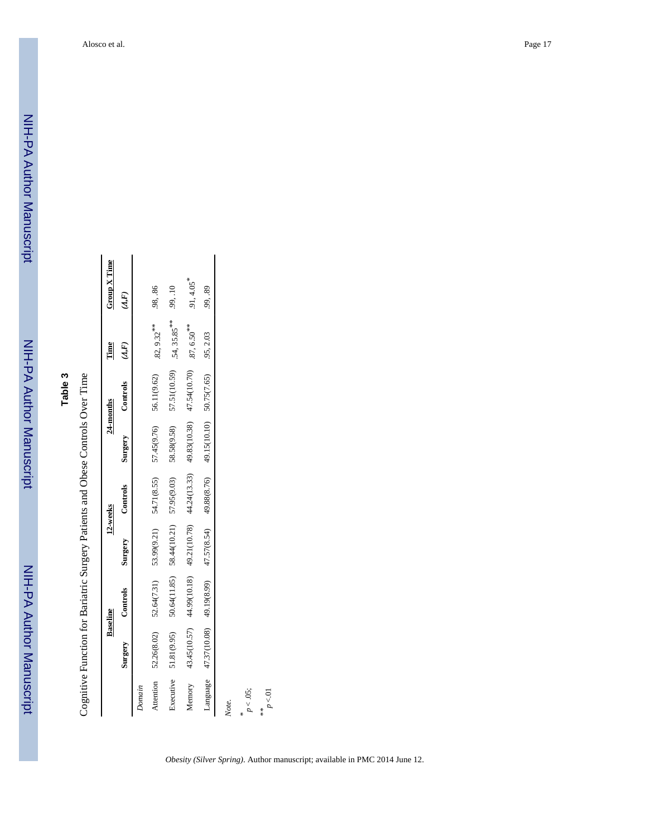NIH-PA Author Manuscript

NIH-PA Author Manuscript

Cognitive Function for Bariatric Surgery Patients and Obese Controls Over Time Cognitive Function for Bariatric Surgery Patients and Obese Controls Over Time

|                 |              | <b>Baseline</b>          |                                                                                               | 12-weeks    |                                                                      | 24-months   | Time          | Group X Time             |
|-----------------|--------------|--------------------------|-----------------------------------------------------------------------------------------------|-------------|----------------------------------------------------------------------|-------------|---------------|--------------------------|
|                 | Surgery      | Controls                 | Surgery                                                                                       | Controls    | Surgery                                                              | Controls    | (A, F)        | (A, F)                   |
| Domain          |              |                          |                                                                                               |             |                                                                      |             |               |                          |
| Attention       | 52.26(8.02)  | 52.64(7.31)              | 53.99(9.21)                                                                                   | 54.71(8.55) | 57.45(9.76)                                                          | 56.11(9.62) | $.82,9.32***$ | .98, .86                 |
| Executive       | 51.81(9.95)  |                          | 50.64(11.85) 58.44(10.21) 57.95(9.03) 58.58(9.58) 57.51(10.59) 54, 35.85 <sup>**</sup> 99, 10 |             |                                                                      |             |               |                          |
| Memory          | 43.45(10.57) |                          | 44.99(10.18) 49.21(10.78) 44.24(13.33) 49.83(10.38) 47.54(10.70) 87, 6.50 <sup>**</sup>       |             |                                                                      |             |               | $.91, 4.05$ <sup>*</sup> |
| Language        |              | 47.37(10.08) 49.19(8.99) |                                                                                               |             | $47.57(8.54)$ $49.88(8.76)$ $49.15(10.10)$ $50.75(7.65)$ $.95, 2.03$ |             |               | .99, .89                 |
| Note.           |              |                          |                                                                                               |             |                                                                      |             |               |                          |
| p < .05;        |              |                          |                                                                                               |             |                                                                      |             |               |                          |
| $p < 01$<br>$*$ |              |                          |                                                                                               |             |                                                                      |             |               |                          |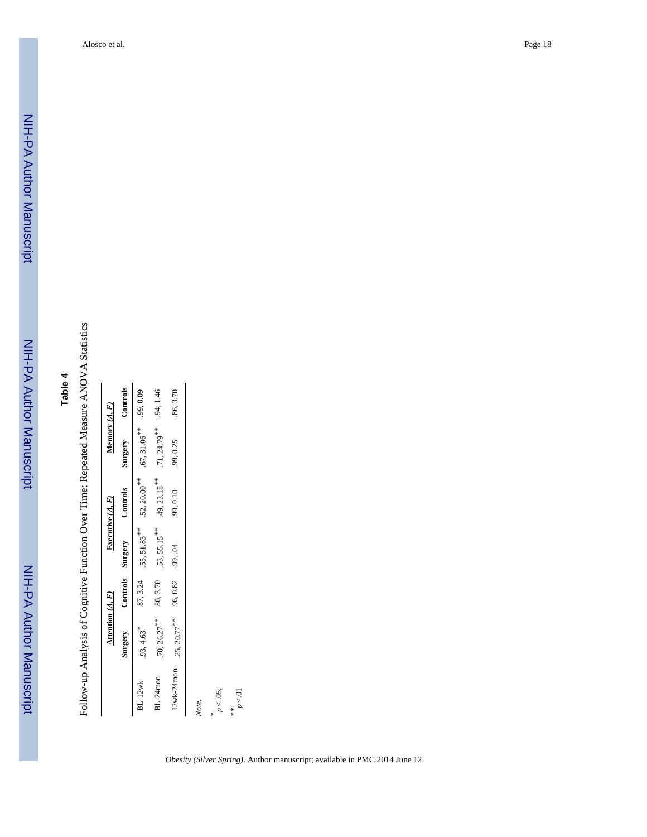NIH-PA Author Manuscript

NIH-PA Author Manuscript

Follow-up Analysis of Cognitive Function Over Time: Repeated Measure ANOVA Statistics Follow-up Analysis of Cognitive Function Over Time: Repeated Measure ANOVA Statistics

|                | Attention $(A, F)$         |                  |                 | Executive $(A, F)$         | Memory $(A, F)$          |           |
|----------------|----------------------------|------------------|-----------------|----------------------------|--------------------------|-----------|
|                | Surgery                    | Controls Surgery |                 | Controls                   | Surgery                  | Controls  |
| <b>BL-12wk</b> | $.93, 4.63$ <sup>*</sup>   | .87, 3.24        | $.55, 51.83***$ | $.52, 20.00$ <sup>**</sup> | $.67,31.06***$ .99, 0.09 |           |
| BL-24mon       | $.70, 26.27$ **            | .86, 3.70        | $.53, 55.15***$ | $49, 23.18***$             | $.71, 24.79***$          | .94, 1.46 |
| 12wk-24mon     | $.25, 20.77$ <sup>**</sup> | .96,0.82         | .99, .04        | 99,0.10                    | .99, 0.25                | 86, 3.70  |
| Note.          |                            |                  |                 |                            |                          |           |
|                |                            |                  |                 |                            |                          |           |
| $p < 0.05$ ;   |                            |                  |                 |                            |                          |           |
| p < 01<br>$*$  |                            |                  |                 |                            |                          |           |